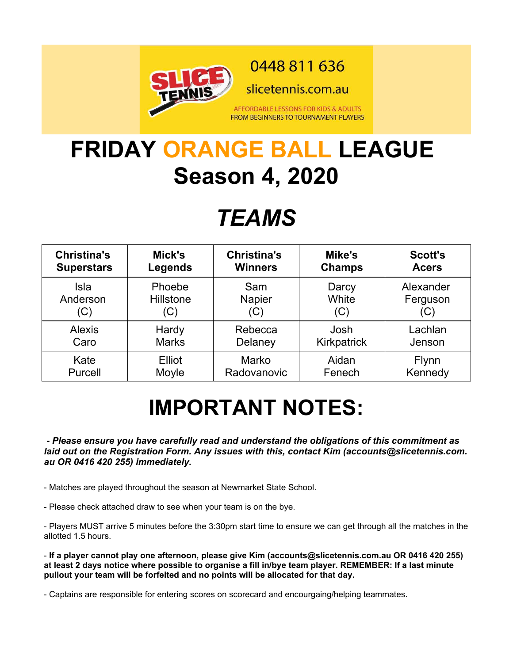

0448 811 636

slicetennis.com.au

AFFORDABLE LESSONS FOR KIDS & ADULTS **FROM BEGINNERS TO TOURNAMENT PLAYERS** 

## **FRIDAY ORANGE BALL LEAGUE Season 4, 2020**

## *TEAMS*

| <b>Christina's</b> | Mick's         | <b>Christina's</b> | Mike's        | <b>Scott's</b> |
|--------------------|----------------|--------------------|---------------|----------------|
| <b>Superstars</b>  | <b>Legends</b> | <b>Winners</b>     | <b>Champs</b> | <b>Acers</b>   |
| Isla               | Phoebe         | Sam                | Darcy         | Alexander      |
| Anderson           | Hillstone      | <b>Napier</b>      | White         | Ferguson       |
| (C)                | (C)            | (C)                | (C)           | (C)            |
| <b>Alexis</b>      | Hardy          | Rebecca            | Josh          | Lachlan        |
| Caro               | <b>Marks</b>   | Delaney            | Kirkpatrick   | Jenson         |
| Kate               | Elliot         | Marko              | Aidan         | <b>Flynn</b>   |
| Purcell            | Moyle          | Radovanovic        | Fenech        | Kennedy        |

# **IMPORTANT NOTES:**

 *- Please ensure you have carefully read and understand the obligations of this commitment as laid out on the Registration Form. Any issues with this, contact Kim (accounts@slicetennis.com. au OR 0416 420 255) immediately.*

- Matches are played throughout the season at Newmarket State School.

- Please check attached draw to see when your team is on the bye.

- Players MUST arrive 5 minutes before the 3:30pm start time to ensure we can get through all the matches in the allotted 1.5 hours.

- **If a player cannot play one afternoon, please give Kim (accounts@slicetennis.com.au OR 0416 420 255) at least 2 days notice where possible to organise a fill in/bye team player. REMEMBER: If a last minute pullout your team will be forfeited and no points will be allocated for that day.**

- Captains are responsible for entering scores on scorecard and encourgaing/helping teammates.